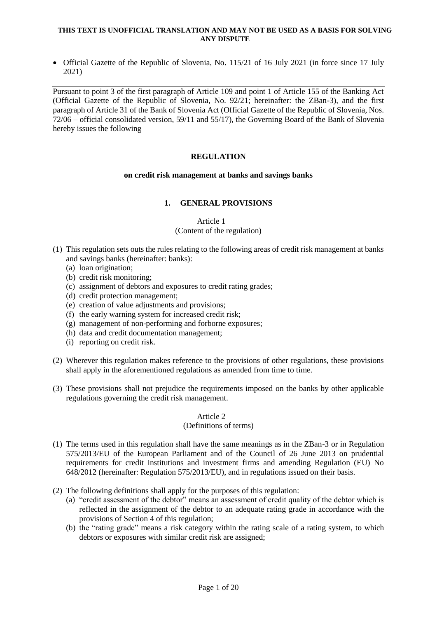#### **THIS TEXT IS UNOFFICIAL TRANSLATION AND MAY NOT BE USED AS A BASIS FOR SOLVING ANY DISPUTE**

• Official Gazette of the Republic of Slovenia, No. 115/21 of 16 July 2021 (in force since 17 July 2021)

Pursuant to point 3 of the first paragraph of Article 109 and point 1 of Article 155 of the Banking Act (Official Gazette of the Republic of Slovenia, No. 92/21; hereinafter: the ZBan-3), and the first paragraph of Article 31 of the Bank of Slovenia Act (Official Gazette of the Republic of Slovenia, Nos. 72/06 – official consolidated version, 59/11 and 55/17), the Governing Board of the Bank of Slovenia hereby issues the following

# **REGULATION**

## **on credit risk management at banks and savings banks**

# **1. GENERAL PROVISIONS**

Article 1 (Content of the regulation)

- (1) This regulation sets outs the rules relating to the following areas of credit risk management at banks and savings banks (hereinafter: banks):
	- (a) loan origination;
	- (b) credit risk monitoring;
	- (c) assignment of debtors and exposures to credit rating grades;
	- (d) credit protection management;
	- (e) creation of value adjustments and provisions;
	- (f) the early warning system for increased credit risk;
	- (g) management of non-performing and forborne exposures;
	- (h) data and credit documentation management;
	- (i) reporting on credit risk.
- (2) Wherever this regulation makes reference to the provisions of other regulations, these provisions shall apply in the aforementioned regulations as amended from time to time.
- (3) These provisions shall not prejudice the requirements imposed on the banks by other applicable regulations governing the credit risk management.

## Article 2

## (Definitions of terms)

- (1) The terms used in this regulation shall have the same meanings as in the ZBan-3 or in Regulation 575/2013/EU of the European Parliament and of the Council of 26 June 2013 on prudential requirements for credit institutions and investment firms and amending Regulation (EU) No 648/2012 (hereinafter: Regulation 575/2013/EU), and in regulations issued on their basis.
- (2) The following definitions shall apply for the purposes of this regulation:
	- (a) "credit assessment of the debtor" means an assessment of credit quality of the debtor which is reflected in the assignment of the debtor to an adequate rating grade in accordance with the provisions of Section 4 of this regulation;
	- (b) the "rating grade" means a risk category within the rating scale of a rating system, to which debtors or exposures with similar credit risk are assigned;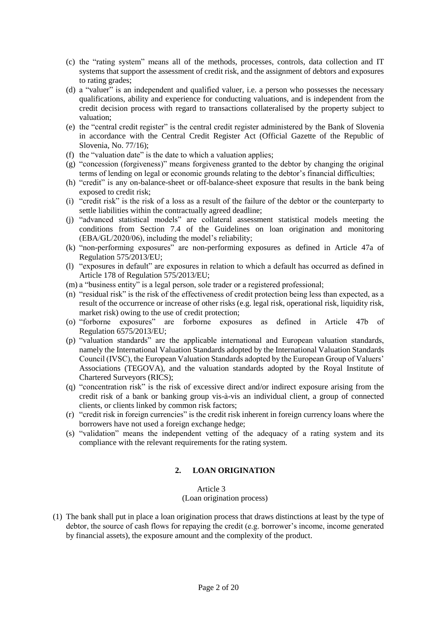- (c) the "rating system" means all of the methods, processes, controls, data collection and IT systems that support the assessment of credit risk, and the assignment of debtors and exposures to rating grades;
- (d) a "valuer" is an independent and qualified valuer, i.e. a person who possesses the necessary qualifications, ability and experience for conducting valuations, and is independent from the credit decision process with regard to transactions collateralised by the property subject to valuation;
- (e) the "central credit register" is the central credit register administered by the Bank of Slovenia in accordance with the Central Credit Register Act (Official Gazette of the Republic of Slovenia, No. 77/16);
- (f) the "valuation date" is the date to which a valuation applies;
- (g) "concession (forgiveness)" means forgiveness granted to the debtor by changing the original terms of lending on legal or economic grounds relating to the debtor's financial difficulties;
- (h) "credit" is any on-balance-sheet or off-balance-sheet exposure that results in the bank being exposed to credit risk;
- (i) "credit risk" is the risk of a loss as a result of the failure of the debtor or the counterparty to settle liabilities within the contractually agreed deadline;
- (j) "advanced statistical models" are collateral assessment statistical models meeting the conditions from Section 7.4 of the Guidelines on loan origination and monitoring (EBA/GL/2020/06), including the model's reliability;
- (k) "non-performing exposures" are non-performing exposures as defined in Article 47a of Regulation 575/2013/EU;
- (l) "exposures in default" are exposures in relation to which a default has occurred as defined in Article 178 of Regulation 575/2013/EU;
- (m) a "business entity" is a legal person, sole trader or a registered professional;
- (n) "residual risk" is the risk of the effectiveness of credit protection being less than expected, as a result of the occurrence or increase of other risks (e.g. legal risk, operational risk, liquidity risk, market risk) owing to the use of credit protection;
- (o) "forborne exposures" are forborne exposures as defined in Article 47b of Regulation 6575/2013/EU;
- (p) "valuation standards" are the applicable international and European valuation standards, namely the International Valuation Standards adopted by the International Valuation Standards Council (IVSC), the European Valuation Standards adopted by the European Group of Valuers' Associations (TEGOVA), and the valuation standards adopted by the Royal Institute of Chartered Surveyors (RICS);
- (q) "concentration risk" is the risk of excessive direct and/or indirect exposure arising from the credit risk of a bank or banking group vis-à-vis an individual client, a group of connected clients, or clients linked by common risk factors;
- (r) "credit risk in foreign currencies" is the credit risk inherent in foreign currency loans where the borrowers have not used a foreign exchange hedge;
- (s) "validation" means the independent vetting of the adequacy of a rating system and its compliance with the relevant requirements for the rating system.

# **2. LOAN ORIGINATION**

Article 3

(Loan origination process)

(1) The bank shall put in place a loan origination process that draws distinctions at least by the type of debtor, the source of cash flows for repaying the credit (e.g. borrower's income, income generated by financial assets), the exposure amount and the complexity of the product.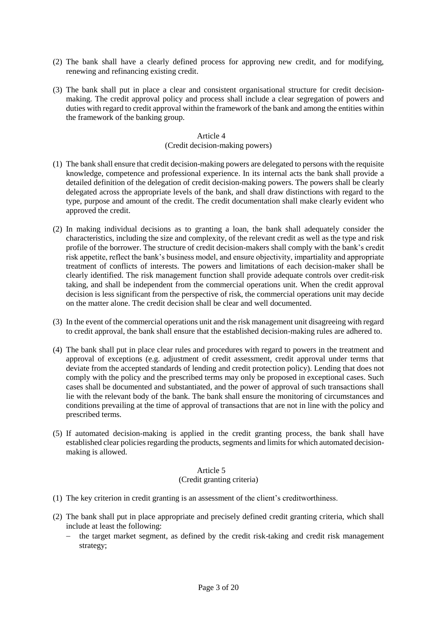- (2) The bank shall have a clearly defined process for approving new credit, and for modifying, renewing and refinancing existing credit.
- (3) The bank shall put in place a clear and consistent organisational structure for credit decisionmaking. The credit approval policy and process shall include a clear segregation of powers and duties with regard to credit approval within the framework of the bank and among the entities within the framework of the banking group.

# (Credit decision-making powers)

- (1) The bank shall ensure that credit decision-making powers are delegated to persons with the requisite knowledge, competence and professional experience. In its internal acts the bank shall provide a detailed definition of the delegation of credit decision-making powers. The powers shall be clearly delegated across the appropriate levels of the bank, and shall draw distinctions with regard to the type, purpose and amount of the credit. The credit documentation shall make clearly evident who approved the credit.
- (2) In making individual decisions as to granting a loan, the bank shall adequately consider the characteristics, including the size and complexity, of the relevant credit as well as the type and risk profile of the borrower. The structure of credit decision-makers shall comply with the bank's credit risk appetite, reflect the bank's business model, and ensure objectivity, impartiality and appropriate treatment of conflicts of interests. The powers and limitations of each decision-maker shall be clearly identified. The risk management function shall provide adequate controls over credit-risk taking, and shall be independent from the commercial operations unit. When the credit approval decision is less significant from the perspective of risk, the commercial operations unit may decide on the matter alone. The credit decision shall be clear and well documented.
- (3) In the event of the commercial operations unit and the risk management unit disagreeing with regard to credit approval, the bank shall ensure that the established decision-making rules are adhered to.
- (4) The bank shall put in place clear rules and procedures with regard to powers in the treatment and approval of exceptions (e.g. adjustment of credit assessment, credit approval under terms that deviate from the accepted standards of lending and credit protection policy). Lending that does not comply with the policy and the prescribed terms may only be proposed in exceptional cases. Such cases shall be documented and substantiated, and the power of approval of such transactions shall lie with the relevant body of the bank. The bank shall ensure the monitoring of circumstances and conditions prevailing at the time of approval of transactions that are not in line with the policy and prescribed terms.
- (5) If automated decision-making is applied in the credit granting process, the bank shall have established clear policies regarding the products, segments and limits for which automated decisionmaking is allowed.

# Article 5 (Credit granting criteria)

- (1) The key criterion in credit granting is an assessment of the client's creditworthiness.
- (2) The bank shall put in place appropriate and precisely defined credit granting criteria, which shall include at least the following:
	- $-$  the target market segment, as defined by the credit risk-taking and credit risk management strategy;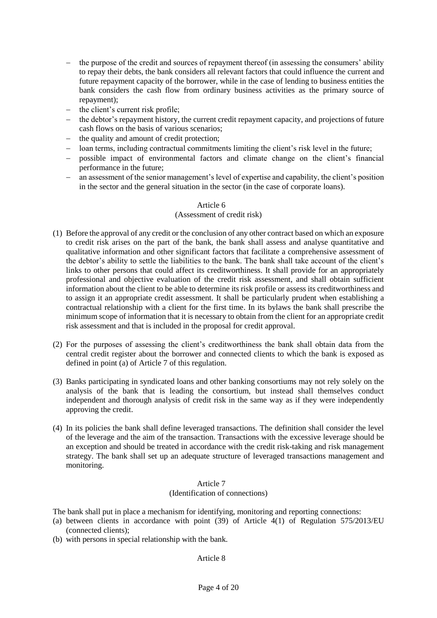- the purpose of the credit and sources of repayment thereof (in assessing the consumers' ability to repay their debts, the bank considers all relevant factors that could influence the current and future repayment capacity of the borrower, while in the case of lending to business entities the bank considers the cash flow from ordinary business activities as the primary source of repayment);
- $-$  the client's current risk profile;
- the debtor's repayment history, the current credit repayment capacity, and projections of future cash flows on the basis of various scenarios;
- the quality and amount of credit protection;
- loan terms, including contractual commitments limiting the client's risk level in the future;
- possible impact of environmental factors and climate change on the client's financial performance in the future;
- an assessment of the senior management's level of expertise and capability, the client's position in the sector and the general situation in the sector (in the case of corporate loans).

## (Assessment of credit risk)

- (1) Before the approval of any credit or the conclusion of any other contract based on which an exposure to credit risk arises on the part of the bank, the bank shall assess and analyse quantitative and qualitative information and other significant factors that facilitate a comprehensive assessment of the debtor's ability to settle the liabilities to the bank. The bank shall take account of the client's links to other persons that could affect its creditworthiness. It shall provide for an appropriately professional and objective evaluation of the credit risk assessment, and shall obtain sufficient information about the client to be able to determine its risk profile or assess its creditworthiness and to assign it an appropriate credit assessment. It shall be particularly prudent when establishing a contractual relationship with a client for the first time. In its bylaws the bank shall prescribe the minimum scope of information that it is necessary to obtain from the client for an appropriate credit risk assessment and that is included in the proposal for credit approval.
- (2) For the purposes of assessing the client's creditworthiness the bank shall obtain data from the central credit register about the borrower and connected clients to which the bank is exposed as defined in point (a) of Article 7 of this regulation.
- (3) Banks participating in syndicated loans and other banking consortiums may not rely solely on the analysis of the bank that is leading the consortium, but instead shall themselves conduct independent and thorough analysis of credit risk in the same way as if they were independently approving the credit.
- (4) In its policies the bank shall define leveraged transactions. The definition shall consider the level of the leverage and the aim of the transaction. Transactions with the excessive leverage should be an exception and should be treated in accordance with the credit risk-taking and risk management strategy. The bank shall set up an adequate structure of leveraged transactions management and monitoring.

## Article 7 (Identification of connections)

The bank shall put in place a mechanism for identifying, monitoring and reporting connections:

- (a) between clients in accordance with point (39) of Article 4(1) of Regulation 575/2013/EU (connected clients);
- (b) with persons in special relationship with the bank.

## Article 8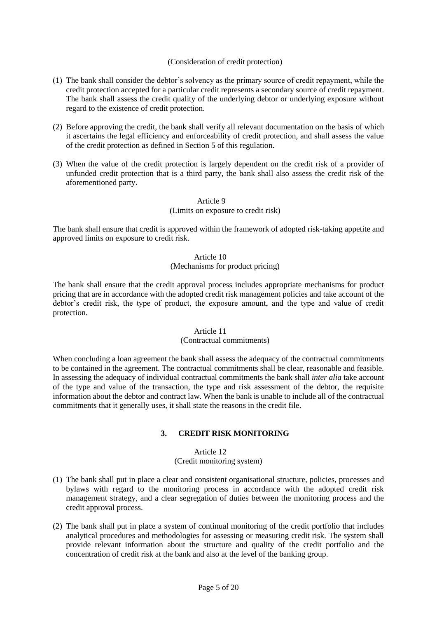# (Consideration of credit protection)

- (1) The bank shall consider the debtor's solvency as the primary source of credit repayment, while the credit protection accepted for a particular credit represents a secondary source of credit repayment. The bank shall assess the credit quality of the underlying debtor or underlying exposure without regard to the existence of credit protection.
- (2) Before approving the credit, the bank shall verify all relevant documentation on the basis of which it ascertains the legal efficiency and enforceability of credit protection, and shall assess the value of the credit protection as defined in Section 5 of this regulation.
- (3) When the value of the credit protection is largely dependent on the credit risk of a provider of unfunded credit protection that is a third party, the bank shall also assess the credit risk of the aforementioned party.

# Article 9

#### (Limits on exposure to credit risk)

The bank shall ensure that credit is approved within the framework of adopted risk-taking appetite and approved limits on exposure to credit risk.

# Article 10 (Mechanisms for product pricing)

The bank shall ensure that the credit approval process includes appropriate mechanisms for product pricing that are in accordance with the adopted credit risk management policies and take account of the debtor's credit risk, the type of product, the exposure amount, and the type and value of credit protection.

#### Article 11

## (Contractual commitments)

When concluding a loan agreement the bank shall assess the adequacy of the contractual commitments to be contained in the agreement. The contractual commitments shall be clear, reasonable and feasible. In assessing the adequacy of individual contractual commitments the bank shall *inter alia* take account of the type and value of the transaction, the type and risk assessment of the debtor, the requisite information about the debtor and contract law. When the bank is unable to include all of the contractual commitments that it generally uses, it shall state the reasons in the credit file.

## **3. CREDIT RISK MONITORING**

# Article 12

# (Credit monitoring system)

- (1) The bank shall put in place a clear and consistent organisational structure, policies, processes and bylaws with regard to the monitoring process in accordance with the adopted credit risk management strategy, and a clear segregation of duties between the monitoring process and the credit approval process.
- (2) The bank shall put in place a system of continual monitoring of the credit portfolio that includes analytical procedures and methodologies for assessing or measuring credit risk. The system shall provide relevant information about the structure and quality of the credit portfolio and the concentration of credit risk at the bank and also at the level of the banking group.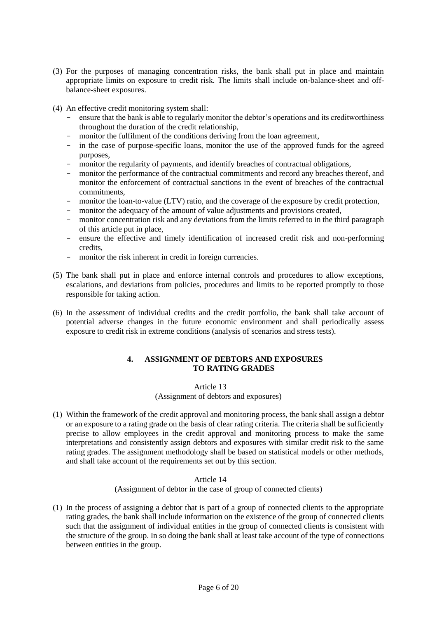- (3) For the purposes of managing concentration risks, the bank shall put in place and maintain appropriate limits on exposure to credit risk. The limits shall include on-balance-sheet and offbalance-sheet exposures.
- (4) An effective credit monitoring system shall:
	- ensure that the bank is able to regularly monitor the debtor's operations and its creditworthiness throughout the duration of the credit relationship,
	- monitor the fulfilment of the conditions deriving from the loan agreement,
	- in the case of purpose-specific loans, monitor the use of the approved funds for the agreed purposes,
	- monitor the regularity of payments, and identify breaches of contractual obligations,
	- monitor the performance of the contractual commitments and record any breaches thereof, and monitor the enforcement of contractual sanctions in the event of breaches of the contractual commitments,
	- monitor the loan-to-value (LTV) ratio, and the coverage of the exposure by credit protection,
	- monitor the adequacy of the amount of value adjustments and provisions created,
	- monitor concentration risk and any deviations from the limits referred to in the third paragraph of this article put in place,
	- ensure the effective and timely identification of increased credit risk and non-performing credits,
	- monitor the risk inherent in credit in foreign currencies.
- (5) The bank shall put in place and enforce internal controls and procedures to allow exceptions, escalations, and deviations from policies, procedures and limits to be reported promptly to those responsible for taking action.
- (6) In the assessment of individual credits and the credit portfolio, the bank shall take account of potential adverse changes in the future economic environment and shall periodically assess exposure to credit risk in extreme conditions (analysis of scenarios and stress tests).

# **4. ASSIGNMENT OF DEBTORS AND EXPOSURES TO RATING GRADES**

Article 13 (Assignment of debtors and exposures)

(1) Within the framework of the credit approval and monitoring process, the bank shall assign a debtor or an exposure to a rating grade on the basis of clear rating criteria. The criteria shall be sufficiently precise to allow employees in the credit approval and monitoring process to make the same interpretations and consistently assign debtors and exposures with similar credit risk to the same rating grades. The assignment methodology shall be based on statistical models or other methods, and shall take account of the requirements set out by this section.

## Article 14 (Assignment of debtor in the case of group of connected clients)

(1) In the process of assigning a debtor that is part of a group of connected clients to the appropriate rating grades, the bank shall include information on the existence of the group of connected clients such that the assignment of individual entities in the group of connected clients is consistent with the structure of the group. In so doing the bank shall at least take account of the type of connections between entities in the group.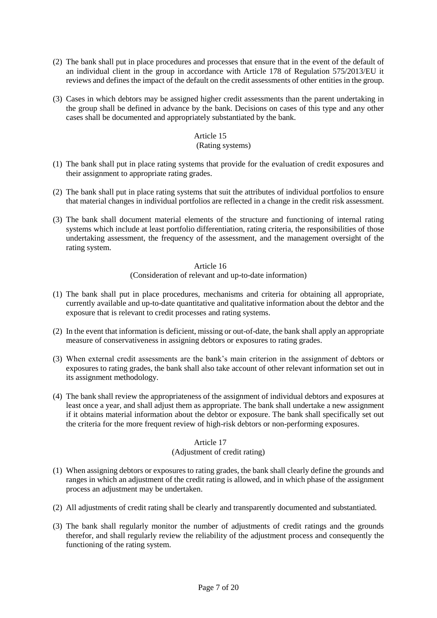- (2) The bank shall put in place procedures and processes that ensure that in the event of the default of an individual client in the group in accordance with Article 178 of Regulation 575/2013/EU it reviews and defines the impact of the default on the credit assessments of other entities in the group.
- (3) Cases in which debtors may be assigned higher credit assessments than the parent undertaking in the group shall be defined in advance by the bank. Decisions on cases of this type and any other cases shall be documented and appropriately substantiated by the bank.

### (Rating systems)

- (1) The bank shall put in place rating systems that provide for the evaluation of credit exposures and their assignment to appropriate rating grades.
- (2) The bank shall put in place rating systems that suit the attributes of individual portfolios to ensure that material changes in individual portfolios are reflected in a change in the credit risk assessment.
- (3) The bank shall document material elements of the structure and functioning of internal rating systems which include at least portfolio differentiation, rating criteria, the responsibilities of those undertaking assessment, the frequency of the assessment, and the management oversight of the rating system.

#### Article 16

## (Consideration of relevant and up-to-date information)

- (1) The bank shall put in place procedures, mechanisms and criteria for obtaining all appropriate, currently available and up-to-date quantitative and qualitative information about the debtor and the exposure that is relevant to credit processes and rating systems.
- (2) In the event that information is deficient, missing or out-of-date, the bank shall apply an appropriate measure of conservativeness in assigning debtors or exposures to rating grades.
- (3) When external credit assessments are the bank's main criterion in the assignment of debtors or exposures to rating grades, the bank shall also take account of other relevant information set out in its assignment methodology.
- (4) The bank shall review the appropriateness of the assignment of individual debtors and exposures at least once a year, and shall adjust them as appropriate. The bank shall undertake a new assignment if it obtains material information about the debtor or exposure. The bank shall specifically set out the criteria for the more frequent review of high-risk debtors or non-performing exposures.

## Article 17

## (Adjustment of credit rating)

- (1) When assigning debtors or exposures to rating grades, the bank shall clearly define the grounds and ranges in which an adjustment of the credit rating is allowed, and in which phase of the assignment process an adjustment may be undertaken.
- (2) All adjustments of credit rating shall be clearly and transparently documented and substantiated.
- (3) The bank shall regularly monitor the number of adjustments of credit ratings and the grounds therefor, and shall regularly review the reliability of the adjustment process and consequently the functioning of the rating system.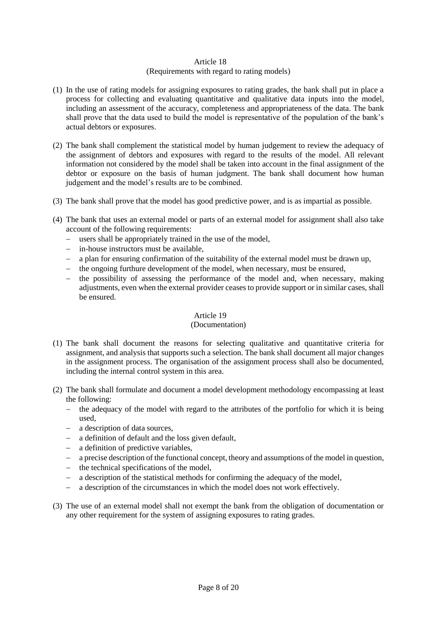# (Requirements with regard to rating models)

- (1) In the use of rating models for assigning exposures to rating grades, the bank shall put in place a process for collecting and evaluating quantitative and qualitative data inputs into the model, including an assessment of the accuracy, completeness and appropriateness of the data. The bank shall prove that the data used to build the model is representative of the population of the bank's actual debtors or exposures.
- (2) The bank shall complement the statistical model by human judgement to review the adequacy of the assignment of debtors and exposures with regard to the results of the model. All relevant information not considered by the model shall be taken into account in the final assignment of the debtor or exposure on the basis of human judgment. The bank shall document how human judgement and the model's results are to be combined.
- (3) The bank shall prove that the model has good predictive power, and is as impartial as possible.
- (4) The bank that uses an external model or parts of an external model for assignment shall also take account of the following requirements:
	- users shall be appropriately trained in the use of the model,
	- in-house instructors must be available,
	- a plan for ensuring confirmation of the suitability of the external model must be drawn up,
	- the ongoing furthure development of the model, when necessary, must be ensured,
	- $-$  the possibility of assessing the performance of the model and, when necessary, making adjustments, even when the external provider ceases to provide support or in similar cases, shall be ensured.

## Article 19

## (Documentation)

- (1) The bank shall document the reasons for selecting qualitative and quantitative criteria for assignment, and analysis that supports such a selection. The bank shall document all major changes in the assignment process. The organisation of the assignment process shall also be documented, including the internal control system in this area.
- (2) The bank shall formulate and document a model development methodology encompassing at least the following:
	- the adequacy of the model with regard to the attributes of the portfolio for which it is being used,
	- a description of data sources,
	- a definition of default and the loss given default,
	- a definition of predictive variables,
	- a precise description of the functional concept, theory and assumptions of the model in question,
	- $\theta$  the technical specifications of the model.
	- a description of the statistical methods for confirming the adequacy of the model,
	- a description of the circumstances in which the model does not work effectively.
- (3) The use of an external model shall not exempt the bank from the obligation of documentation or any other requirement for the system of assigning exposures to rating grades.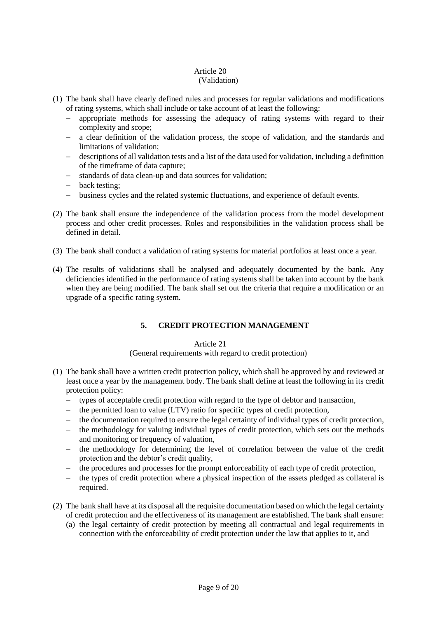# (Validation)

- (1) The bank shall have clearly defined rules and processes for regular validations and modifications of rating systems, which shall include or take account of at least the following:
	- appropriate methods for assessing the adequacy of rating systems with regard to their complexity and scope;
	- a clear definition of the validation process, the scope of validation, and the standards and limitations of validation;
	- descriptions of all validation tests and a list of the data used for validation, including a definition of the timeframe of data capture;
	- standards of data clean-up and data sources for validation;
	- back testing:
	- business cycles and the related systemic fluctuations, and experience of default events.
- (2) The bank shall ensure the independence of the validation process from the model development process and other credit processes. Roles and responsibilities in the validation process shall be defined in detail.
- (3) The bank shall conduct a validation of rating systems for material portfolios at least once a year.
- (4) The results of validations shall be analysed and adequately documented by the bank. Any deficiencies identified in the performance of rating systems shall be taken into account by the bank when they are being modified. The bank shall set out the criteria that require a modification or an upgrade of a specific rating system.

# **5. CREDIT PROTECTION MANAGEMENT**

## Article 21

## (General requirements with regard to credit protection)

- (1) The bank shall have a written credit protection policy, which shall be approved by and reviewed at least once a year by the management body. The bank shall define at least the following in its credit protection policy:
	- types of acceptable credit protection with regard to the type of debtor and transaction,
	- the permitted loan to value (LTV) ratio for specific types of credit protection,
	- the documentation required to ensure the legal certainty of individual types of credit protection,
	- the methodology for valuing individual types of credit protection, which sets out the methods and monitoring or frequency of valuation,
	- the methodology for determining the level of correlation between the value of the credit protection and the debtor's credit quality,
	- the procedures and processes for the prompt enforceability of each type of credit protection,
	- the types of credit protection where a physical inspection of the assets pledged as collateral is required.
- (2) The bank shall have at its disposal all the requisite documentation based on which the legal certainty of credit protection and the effectiveness of its management are established. The bank shall ensure:
	- (a) the legal certainty of credit protection by meeting all contractual and legal requirements in connection with the enforceability of credit protection under the law that applies to it, and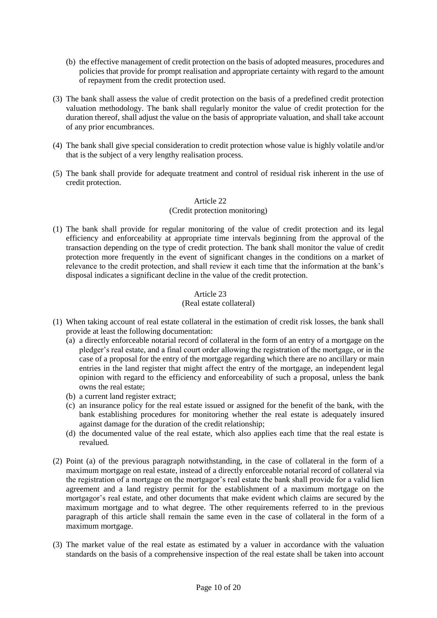- (b) the effective management of credit protection on the basis of adopted measures, procedures and policies that provide for prompt realisation and appropriate certainty with regard to the amount of repayment from the credit protection used.
- (3) The bank shall assess the value of credit protection on the basis of a predefined credit protection valuation methodology. The bank shall regularly monitor the value of credit protection for the duration thereof, shall adjust the value on the basis of appropriate valuation, and shall take account of any prior encumbrances.
- (4) The bank shall give special consideration to credit protection whose value is highly volatile and/or that is the subject of a very lengthy realisation process.
- (5) The bank shall provide for adequate treatment and control of residual risk inherent in the use of credit protection.

## (Credit protection monitoring)

(1) The bank shall provide for regular monitoring of the value of credit protection and its legal efficiency and enforceability at appropriate time intervals beginning from the approval of the transaction depending on the type of credit protection. The bank shall monitor the value of credit protection more frequently in the event of significant changes in the conditions on a market of relevance to the credit protection, and shall review it each time that the information at the bank's disposal indicates a significant decline in the value of the credit protection.

# Article 23

# (Real estate collateral)

- (1) When taking account of real estate collateral in the estimation of credit risk losses, the bank shall provide at least the following documentation:
	- (a) a directly enforceable notarial record of collateral in the form of an entry of a mortgage on the pledger's real estate, and a final court order allowing the registration of the mortgage, or in the case of a proposal for the entry of the mortgage regarding which there are no ancillary or main entries in the land register that might affect the entry of the mortgage, an independent legal opinion with regard to the efficiency and enforceability of such a proposal, unless the bank owns the real estate;
	- (b) a current land register extract;
	- (c) an insurance policy for the real estate issued or assigned for the benefit of the bank, with the bank establishing procedures for monitoring whether the real estate is adequately insured against damage for the duration of the credit relationship;
	- (d) the documented value of the real estate, which also applies each time that the real estate is revalued.
- (2) Point (a) of the previous paragraph notwithstanding, in the case of collateral in the form of a maximum mortgage on real estate, instead of a directly enforceable notarial record of collateral via the registration of a mortgage on the mortgagor's real estate the bank shall provide for a valid lien agreement and a land registry permit for the establishment of a maximum mortgage on the mortgagor's real estate, and other documents that make evident which claims are secured by the maximum mortgage and to what degree. The other requirements referred to in the previous paragraph of this article shall remain the same even in the case of collateral in the form of a maximum mortgage.
- (3) The market value of the real estate as estimated by a valuer in accordance with the valuation standards on the basis of a comprehensive inspection of the real estate shall be taken into account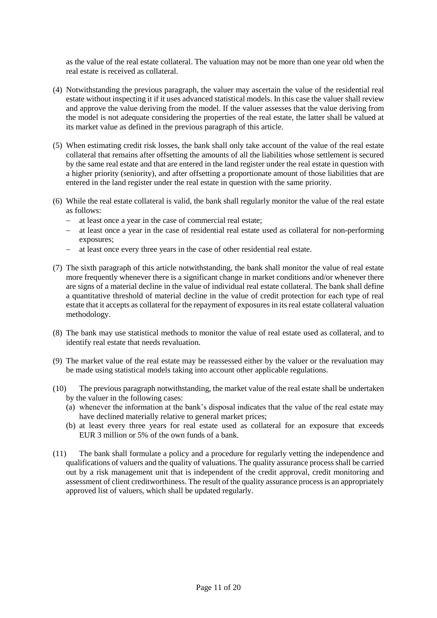as the value of the real estate collateral. The valuation may not be more than one year old when the real estate is received as collateral.

- (4) Notwithstanding the previous paragraph, the valuer may ascertain the value of the residential real estate without inspecting it if it uses advanced statistical models. In this case the valuer shall review and approve the value deriving from the model. If the valuer assesses that the value deriving from the model is not adequate considering the properties of the real estate, the latter shall be valued at its market value as defined in the previous paragraph of this article.
- (5) When estimating credit risk losses, the bank shall only take account of the value of the real estate collateral that remains after offsetting the amounts of all the liabilities whose settlement is secured by the same real estate and that are entered in the land register under the real estate in question with a higher priority (seniority), and after offsetting a proportionate amount of those liabilities that are entered in the land register under the real estate in question with the same priority.
- (6) While the real estate collateral is valid, the bank shall regularly monitor the value of the real estate as follows:
	- at least once a year in the case of commercial real estate;
	- at least once a year in the case of residential real estate used as collateral for non-performing exposures;
	- at least once every three years in the case of other residential real estate.
- (7) The sixth paragraph of this article notwithstanding, the bank shall monitor the value of real estate more frequently whenever there is a significant change in market conditions and/or whenever there are signs of a material decline in the value of individual real estate collateral. The bank shall define a quantitative threshold of material decline in the value of credit protection for each type of real estate that it accepts as collateral for the repayment of exposures in its real estate collateral valuation methodology.
- (8) The bank may use statistical methods to monitor the value of real estate used as collateral, and to identify real estate that needs revaluation.
- (9) The market value of the real estate may be reassessed either by the valuer or the revaluation may be made using statistical models taking into account other applicable regulations.
- (10) The previous paragraph notwithstanding, the market value of the real estate shall be undertaken by the valuer in the following cases:
	- (a) whenever the information at the bank's disposal indicates that the value of the real estate may have declined materially relative to general market prices;
	- (b) at least every three years for real estate used as collateral for an exposure that exceeds EUR 3 million or 5% of the own funds of a bank.
- (11) The bank shall formulate a policy and a procedure for regularly vetting the independence and qualifications of valuers and the quality of valuations. The quality assurance process shall be carried out by a risk management unit that is independent of the credit approval, credit monitoring and assessment of client creditworthiness. The result of the quality assurance process is an appropriately approved list of valuers, which shall be updated regularly.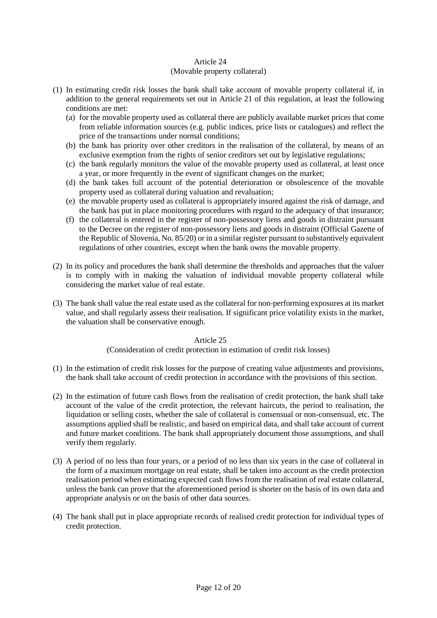## Article 24 (Movable property collateral)

- (1) In estimating credit risk losses the bank shall take account of movable property collateral if, in addition to the general requirements set out in Article 21 of this regulation, at least the following conditions are met:
	- (a) for the movable property used as collateral there are publicly available market prices that come from reliable information sources (e.g. public indices, price lists or catalogues) and reflect the price of the transactions under normal conditions;
	- (b) the bank has priority over other creditors in the realisation of the collateral, by means of an exclusive exemption from the rights of senior creditors set out by legislative regulations;
	- (c) the bank regularly monitors the value of the movable property used as collateral, at least once a year, or more frequently in the event of significant changes on the market;
	- (d) the bank takes full account of the potential deterioration or obsolescence of the movable property used as collateral during valuation and revaluation;
	- (e) the movable property used as collateral is appropriately insured against the risk of damage, and the bank has put in place monitoring procedures with regard to the adequacy of that insurance;
	- (f) the collateral is entered in the register of non-possessory liens and goods in distraint pursuant to the Decree on the register of non-possessory liens and goods in distraint (Official Gazette of the Republic of Slovenia, No. 85/20) or in a similar register pursuant to substantively equivalent regulations of other countries, except when the bank owns the movable property.
- (2) In its policy and procedures the bank shall determine the thresholds and approaches that the valuer is to comply with in making the valuation of individual movable property collateral while considering the market value of real estate.
- (3) The bank shall value the real estate used as the collateral for non-performing exposures at its market value, and shall regularly assess their realisation. If significant price volatility exists in the market, the valuation shall be conservative enough.

# Article 25

# (Consideration of credit protection in estimation of credit risk losses)

- (1) In the estimation of credit risk losses for the purpose of creating value adjustments and provisions, the bank shall take account of credit protection in accordance with the provisions of this section.
- (2) In the estimation of future cash flows from the realisation of credit protection, the bank shall take account of the value of the credit protection, the relevant haircuts, the period to realisation, the liquidation or selling costs, whether the sale of collateral is consensual or non-consensual, etc. The assumptions applied shall be realistic, and based on empirical data, and shall take account of current and future market conditions. The bank shall appropriately document those assumptions, and shall verify them regularly.
- (3) A period of no less than four years, or a period of no less than six years in the case of collateral in the form of a maximum mortgage on real estate, shall be taken into account as the credit protection realisation period when estimating expected cash flows from the realisation of real estate collateral, unless the bank can prove that the aforementioned period is shorter on the basis of its own data and appropriate analysis or on the basis of other data sources.
- (4) The bank shall put in place appropriate records of realised credit protection for individual types of credit protection.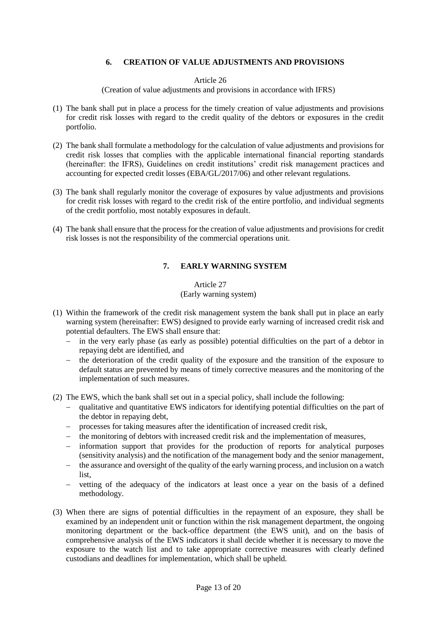# **6. CREATION OF VALUE ADJUSTMENTS AND PROVISIONS**

### Article 26

(Creation of value adjustments and provisions in accordance with IFRS)

- (1) The bank shall put in place a process for the timely creation of value adjustments and provisions for credit risk losses with regard to the credit quality of the debtors or exposures in the credit portfolio.
- (2) The bank shall formulate a methodology for the calculation of value adjustments and provisions for credit risk losses that complies with the applicable international financial reporting standards (hereinafter: the IFRS), Guidelines on credit institutions' credit risk management practices and accounting for expected credit losses (EBA/GL/2017/06) and other relevant regulations.
- (3) The bank shall regularly monitor the coverage of exposures by value adjustments and provisions for credit risk losses with regard to the credit risk of the entire portfolio, and individual segments of the credit portfolio, most notably exposures in default.
- (4) The bank shall ensure that the process for the creation of value adjustments and provisions for credit risk losses is not the responsibility of the commercial operations unit.

# **7. EARLY WARNING SYSTEM**

# Article 27 (Early warning system)

- (1) Within the framework of the credit risk management system the bank shall put in place an early warning system (hereinafter: EWS) designed to provide early warning of increased credit risk and potential defaulters. The EWS shall ensure that:
	- in the very early phase (as early as possible) potential difficulties on the part of a debtor in repaying debt are identified, and
	- $-$  the deterioration of the credit quality of the exposure and the transition of the exposure to default status are prevented by means of timely corrective measures and the monitoring of the implementation of such measures.
- (2) The EWS, which the bank shall set out in a special policy, shall include the following:
	- qualitative and quantitative EWS indicators for identifying potential difficulties on the part of the debtor in repaying debt,
	- processes for taking measures after the identification of increased credit risk,
	- the monitoring of debtors with increased credit risk and the implementation of measures,
	- information support that provides for the production of reports for analytical purposes (sensitivity analysis) and the notification of the management body and the senior management,
	- the assurance and oversight of the quality of the early warning process, and inclusion on a watch list,
	- vetting of the adequacy of the indicators at least once a year on the basis of a defined methodology.
- (3) When there are signs of potential difficulties in the repayment of an exposure, they shall be examined by an independent unit or function within the risk management department, the ongoing monitoring department or the back-office department (the EWS unit), and on the basis of comprehensive analysis of the EWS indicators it shall decide whether it is necessary to move the exposure to the watch list and to take appropriate corrective measures with clearly defined custodians and deadlines for implementation, which shall be upheld.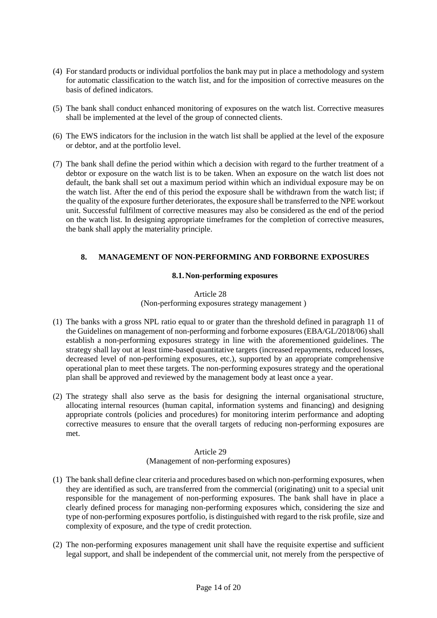- (4) For standard products or individual portfolios the bank may put in place a methodology and system for automatic classification to the watch list, and for the imposition of corrective measures on the basis of defined indicators.
- (5) The bank shall conduct enhanced monitoring of exposures on the watch list. Corrective measures shall be implemented at the level of the group of connected clients.
- (6) The EWS indicators for the inclusion in the watch list shall be applied at the level of the exposure or debtor, and at the portfolio level.
- (7) The bank shall define the period within which a decision with regard to the further treatment of a debtor or exposure on the watch list is to be taken. When an exposure on the watch list does not default, the bank shall set out a maximum period within which an individual exposure may be on the watch list. After the end of this period the exposure shall be withdrawn from the watch list; if the quality of the exposure further deteriorates, the exposure shall be transferred to the NPE workout unit. Successful fulfilment of corrective measures may also be considered as the end of the period on the watch list. In designing appropriate timeframes for the completion of corrective measures, the bank shall apply the materiality principle.

# **8. MANAGEMENT OF NON-PERFORMING AND FORBORNE EXPOSURES**

#### **8.1.Non-performing exposures**

#### Article 28 (Non-performing exposures strategy management )

- (1) The banks with a gross NPL ratio equal to or grater than the threshold defined in paragraph 11 of the Guidelines on management of non-performing and forborne exposures (EBA/GL/2018/06) shall establish a non-performing exposures strategy in line with the aforementioned guidelines. The strategy shall lay out at least time-based quantitative targets (increased repayments, reduced losses, decreased level of non-performing exposures, etc.), supported by an appropriate comprehensive operational plan to meet these targets. The non-performing exposures strategy and the operational plan shall be approved and reviewed by the management body at least once a year.
- (2) The strategy shall also serve as the basis for designing the internal organisational structure, allocating internal resources (human capital, information systems and financing) and designing appropriate controls (policies and procedures) for monitoring interim performance and adopting corrective measures to ensure that the overall targets of reducing non-performing exposures are met.

#### Article 29

# (Management of non-performing exposures)

- (1) The bank shall define clear criteria and procedures based on which non-performing exposures, when they are identified as such, are transferred from the commercial (originating) unit to a special unit responsible for the management of non-performing exposures. The bank shall have in place a clearly defined process for managing non-performing exposures which, considering the size and type of non-performing exposures portfolio, is distinguished with regard to the risk profile, size and complexity of exposure, and the type of credit protection.
- (2) The non-performing exposures management unit shall have the requisite expertise and sufficient legal support, and shall be independent of the commercial unit, not merely from the perspective of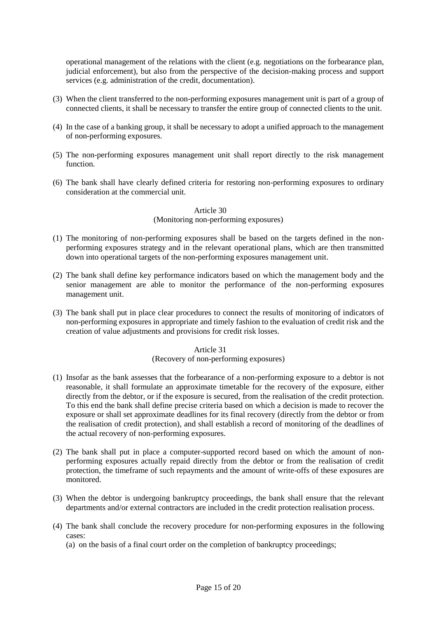operational management of the relations with the client (e.g. negotiations on the forbearance plan, judicial enforcement), but also from the perspective of the decision-making process and support services (e.g. administration of the credit, documentation).

- (3) When the client transferred to the non-performing exposures management unit is part of a group of connected clients, it shall be necessary to transfer the entire group of connected clients to the unit.
- (4) In the case of a banking group, it shall be necessary to adopt a unified approach to the management of non-performing exposures.
- (5) The non-performing exposures management unit shall report directly to the risk management function.
- (6) The bank shall have clearly defined criteria for restoring non-performing exposures to ordinary consideration at the commercial unit.

#### Article 30

#### (Monitoring non-performing exposures)

- (1) The monitoring of non-performing exposures shall be based on the targets defined in the nonperforming exposures strategy and in the relevant operational plans, which are then transmitted down into operational targets of the non-performing exposures management unit.
- (2) The bank shall define key performance indicators based on which the management body and the senior management are able to monitor the performance of the non-performing exposures management unit.
- (3) The bank shall put in place clear procedures to connect the results of monitoring of indicators of non-performing exposures in appropriate and timely fashion to the evaluation of credit risk and the creation of value adjustments and provisions for credit risk losses.

## Article 31

# (Recovery of non-performing exposures)

- (1) Insofar as the bank assesses that the forbearance of a non-performing exposure to a debtor is not reasonable, it shall formulate an approximate timetable for the recovery of the exposure, either directly from the debtor, or if the exposure is secured, from the realisation of the credit protection. To this end the bank shall define precise criteria based on which a decision is made to recover the exposure or shall set approximate deadlines for its final recovery (directly from the debtor or from the realisation of credit protection), and shall establish a record of monitoring of the deadlines of the actual recovery of non-performing exposures.
- (2) The bank shall put in place a computer-supported record based on which the amount of nonperforming exposures actually repaid directly from the debtor or from the realisation of credit protection, the timeframe of such repayments and the amount of write-offs of these exposures are monitored.
- (3) When the debtor is undergoing bankruptcy proceedings, the bank shall ensure that the relevant departments and/or external contractors are included in the credit protection realisation process.
- (4) The bank shall conclude the recovery procedure for non-performing exposures in the following cases:
	- (a) on the basis of a final court order on the completion of bankruptcy proceedings;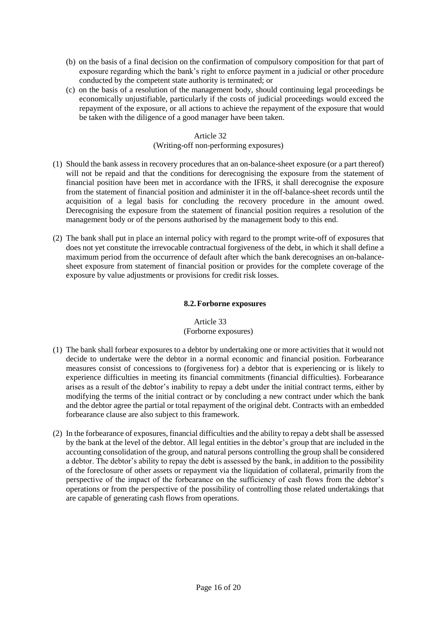- (b) on the basis of a final decision on the confirmation of compulsory composition for that part of exposure regarding which the bank's right to enforce payment in a judicial or other procedure conducted by the competent state authority is terminated; or
- (c) on the basis of a resolution of the management body, should continuing legal proceedings be economically unjustifiable, particularly if the costs of judicial proceedings would exceed the repayment of the exposure, or all actions to achieve the repayment of the exposure that would be taken with the diligence of a good manager have been taken.

# Article 32 (Writing-off non-performing exposures)

- (1) Should the bank assess in recovery procedures that an on-balance-sheet exposure (or a part thereof) will not be repaid and that the conditions for derecognising the exposure from the statement of financial position have been met in accordance with the IFRS, it shall derecognise the exposure from the statement of financial position and administer it in the off-balance-sheet records until the acquisition of a legal basis for concluding the recovery procedure in the amount owed. Derecognising the exposure from the statement of financial position requires a resolution of the management body or of the persons authorised by the management body to this end.
- (2) The bank shall put in place an internal policy with regard to the prompt write-off of exposures that does not yet constitute the irrevocable contractual forgiveness of the debt, in which it shall define a maximum period from the occurrence of default after which the bank derecognises an on-balancesheet exposure from statement of financial position or provides for the complete coverage of the exposure by value adjustments or provisions for credit risk losses.

# **8.2.Forborne exposures**

# Article 33 (Forborne exposures)

- (1) The bank shall forbear exposures to a debtor by undertaking one or more activities that it would not decide to undertake were the debtor in a normal economic and financial position. Forbearance measures consist of concessions to (forgiveness for) a debtor that is experiencing or is likely to experience difficulties in meeting its financial commitments (financial difficulties). Forbearance arises as a result of the debtor's inability to repay a debt under the initial contract terms, either by modifying the terms of the initial contract or by concluding a new contract under which the bank and the debtor agree the partial or total repayment of the original debt. Contracts with an embedded forbearance clause are also subject to this framework.
- (2) In the forbearance of exposures, financial difficulties and the ability to repay a debt shall be assessed by the bank at the level of the debtor. All legal entities in the debtor's group that are included in the accounting consolidation of the group, and natural persons controlling the group shall be considered a debtor. The debtor's ability to repay the debt is assessed by the bank, in addition to the possibility of the foreclosure of other assets or repayment via the liquidation of collateral, primarily from the perspective of the impact of the forbearance on the sufficiency of cash flows from the debtor's operations or from the perspective of the possibility of controlling those related undertakings that are capable of generating cash flows from operations.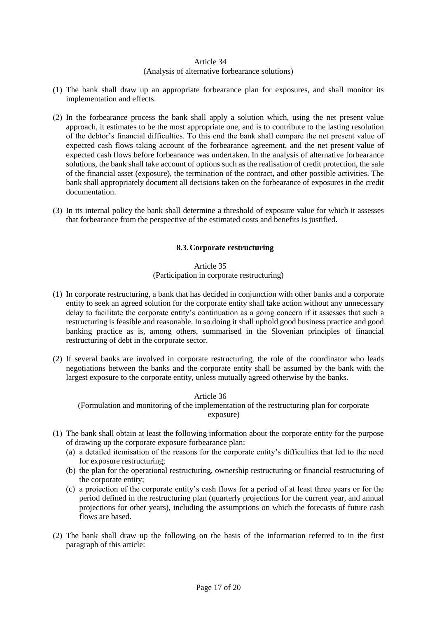# (Analysis of alternative forbearance solutions)

- (1) The bank shall draw up an appropriate forbearance plan for exposures, and shall monitor its implementation and effects.
- (2) In the forbearance process the bank shall apply a solution which, using the net present value approach, it estimates to be the most appropriate one, and is to contribute to the lasting resolution of the debtor's financial difficulties. To this end the bank shall compare the net present value of expected cash flows taking account of the forbearance agreement, and the net present value of expected cash flows before forbearance was undertaken. In the analysis of alternative forbearance solutions, the bank shall take account of options such as the realisation of credit protection, the sale of the financial asset (exposure), the termination of the contract, and other possible activities. The bank shall appropriately document all decisions taken on the forbearance of exposures in the credit documentation.
- (3) In its internal policy the bank shall determine a threshold of exposure value for which it assesses that forbearance from the perspective of the estimated costs and benefits is justified.

## **8.3.Corporate restructuring**

#### Article 35

# (Participation in corporate restructuring)

- (1) In corporate restructuring, a bank that has decided in conjunction with other banks and a corporate entity to seek an agreed solution for the corporate entity shall take action without any unnecessary delay to facilitate the corporate entity's continuation as a going concern if it assesses that such a restructuring is feasible and reasonable. In so doing it shall uphold good business practice and good banking practice as is, among others, summarised in the Slovenian principles of financial restructuring of debt in the corporate sector.
- (2) If several banks are involved in corporate restructuring, the role of the coordinator who leads negotiations between the banks and the corporate entity shall be assumed by the bank with the largest exposure to the corporate entity, unless mutually agreed otherwise by the banks.

#### Article 36

(Formulation and monitoring of the implementation of the restructuring plan for corporate exposure)

- (1) The bank shall obtain at least the following information about the corporate entity for the purpose of drawing up the corporate exposure forbearance plan:
	- (a) a detailed itemisation of the reasons for the corporate entity's difficulties that led to the need for exposure restructuring;
	- (b) the plan for the operational restructuring, ownership restructuring or financial restructuring of the corporate entity;
	- (c) a projection of the corporate entity's cash flows for a period of at least three years or for the period defined in the restructuring plan (quarterly projections for the current year, and annual projections for other years), including the assumptions on which the forecasts of future cash flows are based.
- (2) The bank shall draw up the following on the basis of the information referred to in the first paragraph of this article: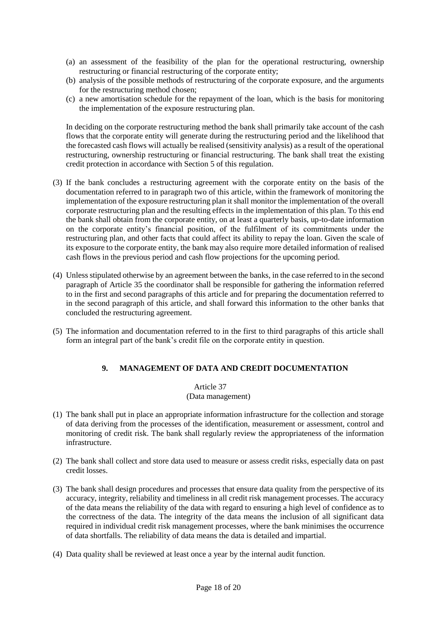- (a) an assessment of the feasibility of the plan for the operational restructuring, ownership restructuring or financial restructuring of the corporate entity;
- (b) analysis of the possible methods of restructuring of the corporate exposure, and the arguments for the restructuring method chosen;
- (c) a new amortisation schedule for the repayment of the loan, which is the basis for monitoring the implementation of the exposure restructuring plan.

In deciding on the corporate restructuring method the bank shall primarily take account of the cash flows that the corporate entity will generate during the restructuring period and the likelihood that the forecasted cash flows will actually be realised (sensitivity analysis) as a result of the operational restructuring, ownership restructuring or financial restructuring. The bank shall treat the existing credit protection in accordance with Section 5 of this regulation.

- (3) If the bank concludes a restructuring agreement with the corporate entity on the basis of the documentation referred to in paragraph two of this article, within the framework of monitoring the implementation of the exposure restructuring plan it shall monitor the implementation of the overall corporate restructuring plan and the resulting effects in the implementation of this plan. To this end the bank shall obtain from the corporate entity, on at least a quarterly basis, up-to-date information on the corporate entity's financial position, of the fulfilment of its commitments under the restructuring plan, and other facts that could affect its ability to repay the loan. Given the scale of its exposure to the corporate entity, the bank may also require more detailed information of realised cash flows in the previous period and cash flow projections for the upcoming period.
- (4) Unless stipulated otherwise by an agreement between the banks, in the case referred to in the second paragraph of Article 35 the coordinator shall be responsible for gathering the information referred to in the first and second paragraphs of this article and for preparing the documentation referred to in the second paragraph of this article, and shall forward this information to the other banks that concluded the restructuring agreement.
- (5) The information and documentation referred to in the first to third paragraphs of this article shall form an integral part of the bank's credit file on the corporate entity in question.

# **9. MANAGEMENT OF DATA AND CREDIT DOCUMENTATION**

# Article 37 (Data management)

- (1) The bank shall put in place an appropriate information infrastructure for the collection and storage of data deriving from the processes of the identification, measurement or assessment, control and monitoring of credit risk. The bank shall regularly review the appropriateness of the information infrastructure.
- (2) The bank shall collect and store data used to measure or assess credit risks, especially data on past credit losses.
- (3) The bank shall design procedures and processes that ensure data quality from the perspective of its accuracy, integrity, reliability and timeliness in all credit risk management processes. The accuracy of the data means the reliability of the data with regard to ensuring a high level of confidence as to the correctness of the data. The integrity of the data means the inclusion of all significant data required in individual credit risk management processes, where the bank minimises the occurrence of data shortfalls. The reliability of data means the data is detailed and impartial.
- (4) Data quality shall be reviewed at least once a year by the internal audit function.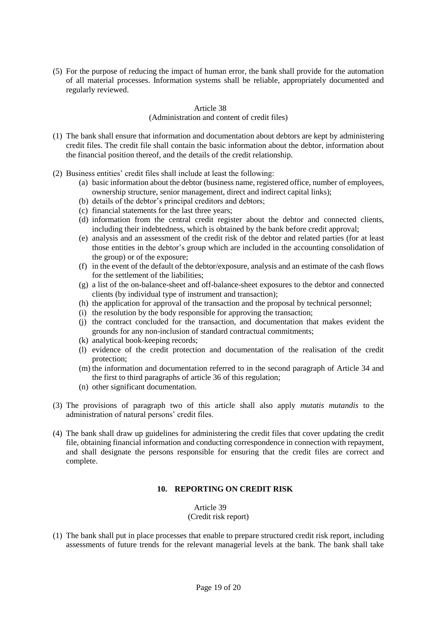(5) For the purpose of reducing the impact of human error, the bank shall provide for the automation of all material processes. Information systems shall be reliable, appropriately documented and regularly reviewed.

### Article 38

#### (Administration and content of credit files)

- (1) The bank shall ensure that information and documentation about debtors are kept by administering credit files. The credit file shall contain the basic information about the debtor, information about the financial position thereof, and the details of the credit relationship.
- (2) Business entities' credit files shall include at least the following:
	- (a) basic information about the debtor (business name, registered office, number of employees, ownership structure, senior management, direct and indirect capital links);
	- (b) details of the debtor's principal creditors and debtors;
	- (c) financial statements for the last three years;
	- (d) information from the central credit register about the debtor and connected clients, including their indebtedness, which is obtained by the bank before credit approval;
	- (e) analysis and an assessment of the credit risk of the debtor and related parties (for at least those entities in the debtor's group which are included in the accounting consolidation of the group) or of the exposure;
	- (f) in the event of the default of the debtor/exposure, analysis and an estimate of the cash flows for the settlement of the liabilities;
	- (g) a list of the on-balance-sheet and off-balance-sheet exposures to the debtor and connected clients (by individual type of instrument and transaction);
	- (h) the application for approval of the transaction and the proposal by technical personnel;
	- (i) the resolution by the body responsible for approving the transaction;
	- (j) the contract concluded for the transaction, and documentation that makes evident the grounds for any non-inclusion of standard contractual commitments;
	- (k) analytical book-keeping records;
	- (l) evidence of the credit protection and documentation of the realisation of the credit protection;
	- (m) the information and documentation referred to in the second paragraph of Article 34 and the first to third paragraphs of article 36 of this regulation;
	- (n) other significant documentation.
- (3) The provisions of paragraph two of this article shall also apply *mutatis mutandis* to the administration of natural persons' credit files.
- (4) The bank shall draw up guidelines for administering the credit files that cover updating the credit file, obtaining financial information and conducting correspondence in connection with repayment, and shall designate the persons responsible for ensuring that the credit files are correct and complete.

# **10. REPORTING ON CREDIT RISK**

Article 39 (Credit risk report)

(1) The bank shall put in place processes that enable to prepare structured credit risk report, including assessments of future trends for the relevant managerial levels at the bank. The bank shall take